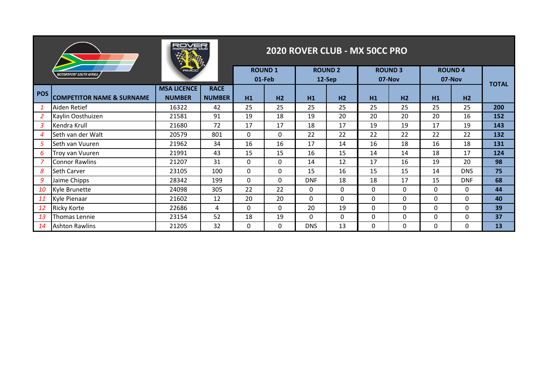|                |                                       |                    | 2020 ROVER CLUB - MX 50CC PRO |              |                         |            |                          |              |                          |              |                         |              |  |
|----------------|---------------------------------------|--------------------|-------------------------------|--------------|-------------------------|------------|--------------------------|--------------|--------------------------|--------------|-------------------------|--------------|--|
|                | <i><b>MOTORSPORT SOUTH AFRICA</b></i> |                    |                               |              | <b>ROUND1</b><br>01-Feb |            | <b>ROUND 2</b><br>12-Sep |              | <b>ROUND 3</b><br>07-Nov |              | <b>ROUND4</b><br>07-Nov |              |  |
| <b>POS</b>     |                                       | <b>MSA LICENCE</b> | <b>RACE</b>                   |              |                         |            |                          |              |                          |              |                         | <b>TOTAL</b> |  |
|                | <b>COMPETITOR NAME &amp; SURNAME</b>  | <b>NUMBER</b>      | <b>NUMBER</b>                 | H1           | H2                      | H1         | H <sub>2</sub>           | H1           | H <sub>2</sub>           | H1           | H <sub>2</sub>          |              |  |
|                | Aiden Retief                          | 16322              | 42                            | 25           | 25                      | 25         | 25                       | 25           | 25                       | 25           | 25                      | 200          |  |
| $\overline{2}$ | Kaylin Oosthuizen                     | 21581              | 91                            | 19           | 18                      | 19         | 20                       | 20           | 20                       | 20           | 16                      | 152          |  |
| 3              | Kendra Krull                          | 21680              | 72                            | 17           | 17                      | 18         | 17                       | 19           | 19                       | 17           | 19                      | 143          |  |
| 4              | Seth van der Walt                     | 20579              | 801                           | $\Omega$     | 0                       | 22         | 22                       | 22           | 22                       | 22           | 22                      | 132          |  |
| 5              | Seth van Vuuren                       | 21962              | 34                            | 16           | 16                      | 17         | 14                       | 16           | 18                       | 16           | 18                      | 131          |  |
| 6              | Troy van Vuuren                       | 21991              | 43                            | 15           | 15                      | 16         | 15                       | 14           | 14                       | 18           | 17                      | 124          |  |
|                | <b>Connor Rawlins</b>                 | 21207              | 31                            | $\Omega$     | 0                       | 14         | 12                       | 17           | 16                       | 19           | 20                      | 98           |  |
| 8              | <b>Seth Carver</b>                    | 23105              | 100                           | $\Omega$     | $\Omega$                | 15         | 16                       | 15           | 15                       | 14           | <b>DNS</b>              | 75           |  |
| 9              | Jaime Chipps                          | 28342              | 199                           | $\mathbf{0}$ | 0                       | <b>DNF</b> | 18                       | 18           | 17                       | 15           | <b>DNF</b>              | 68           |  |
| 10             | Kyle Brunette                         | 24098              | 305                           | 22           | 22                      | $\Omega$   | 0                        | $\Omega$     | $\Omega$                 | $\mathbf{0}$ | 0                       | 44           |  |
| 11             | Kyle Pienaar                          | 21602              | 12                            | 20           | 20                      | 0          | 0                        | $\Omega$     | $\Omega$                 | $\mathbf{0}$ | 0                       | 40           |  |
| <b>12</b>      | <b>Ricky Korte</b>                    | 22686              | 4                             | $\Omega$     | $\mathbf{0}$            | 20         | 19                       | $\mathbf{0}$ | $\Omega$                 | $\mathbf{0}$ | 0                       | 39           |  |
| 13             | Thomas Lennie                         | 23154              | 52                            | 18           | 19                      | $\Omega$   | 0                        | 0            | $\mathbf{0}$             | $\mathbf{0}$ | 0                       | 37           |  |
| 14             | <b>Ashton Rawlins</b>                 | 21205              | 32                            | $\mathbf{0}$ | 0                       | <b>DNS</b> | 13                       | 0            | $\mathbf{0}$             | $\mathbf{0}$ | 0                       | 13           |  |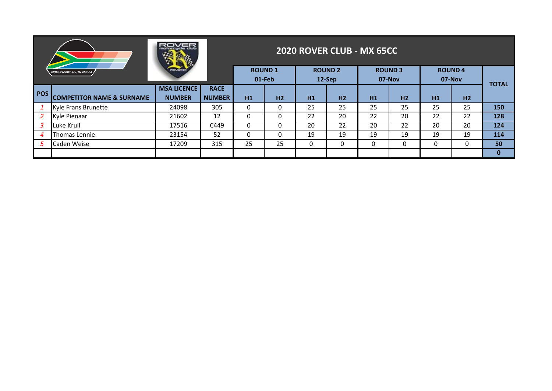|            |                                      | ROVER<br>motorcucle ciuti           |                              |               |                |    | <b>2020 ROVER CLUB - MX 65CC</b> |               |                |    |                         |              |
|------------|--------------------------------------|-------------------------------------|------------------------------|---------------|----------------|----|----------------------------------|---------------|----------------|----|-------------------------|--------------|
|            | <b>MOTORSPORT SOUTH AFRICA</b>       | <b>FRIVIC C</b>                     |                              | <b>ROUND1</b> | 01-Feb         |    | <b>ROUND 2</b><br>12-Sep         | <b>ROUND3</b> | $07-Nov$       |    | <b>ROUND4</b><br>07-Nov | <b>TOTAL</b> |
| <b>POS</b> | <b>COMPETITOR NAME &amp; SURNAME</b> | <b>MSA LICENCE</b><br><b>NUMBER</b> | <b>RACE</b><br><b>NUMBER</b> | H1            | H <sub>2</sub> | H1 | H <sub>2</sub>                   | H1            | H <sub>2</sub> | H1 | H <sub>2</sub>          |              |
|            | Kyle Frans Brunette                  | 24098                               | 305                          | 0             | $\Omega$       | 25 | 25                               | 25            | 25             | 25 | 25                      | 150          |
|            | Kyle Pienaar                         | 21602                               | 12                           | 0             | 0              | 22 | 20                               | 22            | 20             | 22 | 22                      | 128          |
|            | Luke Krull                           | 17516                               | C449                         | 0             | $\mathbf{0}$   | 20 | 22                               | 20            | 22             | 20 | 20                      | 124          |
| 4          | Thomas Lennie                        | 23154                               | 52                           | 0             | 0              | 19 | 19                               | 19            | 19             | 19 | 19                      | 114          |
|            | Caden Weise                          | 17209                               | 315                          | 25            | 25             | 0  | 0                                | 0             | 0              | 0  | 0                       | 50           |
|            |                                      |                                     |                              |               |                |    |                                  |               |                |    |                         | $\bf{0}$     |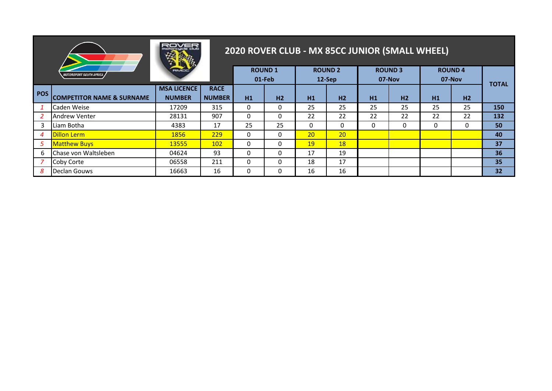|     |                                       | otorcucle ciut<br>徯                 |                              |    |                         |                 | 2020 ROVER CLUB - MX 85CC JUNIOR (SMALL WHEEL) |    |                         |              |                         |              |
|-----|---------------------------------------|-------------------------------------|------------------------------|----|-------------------------|-----------------|------------------------------------------------|----|-------------------------|--------------|-------------------------|--------------|
|     | <i><b>MOTORSPORT SOUTH AFRICA</b></i> | <b>FRIVICTO</b>                     |                              |    | <b>ROUND1</b><br>01-Feb |                 | <b>ROUND 2</b><br>12-Sep                       |    | <b>ROUND3</b><br>07-Nov |              | <b>ROUND4</b><br>07-Nov | <b>TOTAL</b> |
| POS | <b>COMPETITOR NAME &amp; SURNAME</b>  | <b>MSA LICENCE</b><br><b>NUMBER</b> | <b>RACE</b><br><b>NUMBER</b> | H1 | H <sub>2</sub>          | H1              | H2                                             | H1 | H <sub>2</sub>          | H1           | H <sub>2</sub>          |              |
|     | Caden Weise                           | 17209                               | 315                          | 0  | 0                       | 25              | 25                                             | 25 | 25                      | 25           | 25                      | 150          |
|     | <b>Andrew Venter</b>                  | 28131                               | 907                          | 0  | 0                       | 22              | 22                                             | 22 | 22                      | 22           | 22                      | 132          |
| 3   | Liam Botha                            | 4383                                | 17                           | 25 | 25                      | $\mathbf{0}$    | 0                                              | 0  | 0                       | $\mathbf{0}$ | 0                       | 50           |
| 4   | <b>Dillon Lerm</b>                    | 1856                                | 229                          | 0  | $\mathbf{0}$            | 20 <sup>2</sup> | 20                                             |    |                         |              |                         | 40           |
| 5   | <b>Matthew Buys</b>                   | 13555                               | 102                          | 0  | 0                       | 19              | <b>18</b>                                      |    |                         |              |                         | 37           |
| 6   | Chase von Waltsleben                  | 04624                               | 93                           | 0  | $\mathbf{0}$            | 17              | 19                                             |    |                         |              |                         | 36           |
|     | Coby Corte                            | 06558                               | 211                          | 0  | $\mathbf{0}$            | 18              | 17                                             |    |                         |              |                         | 35           |
| 8   | Declan Gouws                          | 16663                               | 16                           | 0  | 0                       | 16              | 16                                             |    |                         |              |                         | 32           |

<u>.</u> A statistical production of the statistic control of the statistic control of the statistic control of the statistic

a series and the series of the series of the series of the series of the series of the series of the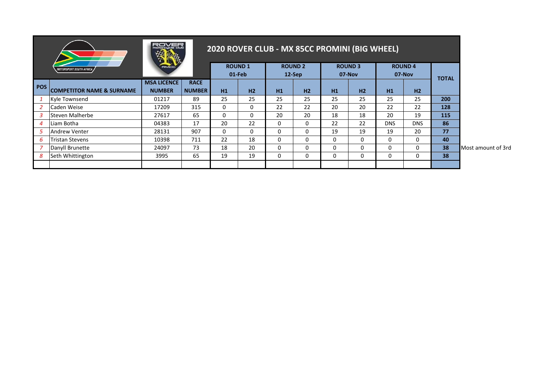|                |                                       | atorcucle ciub                      |                              |    |                         | 2020 ROVER CLUB - MX 85CC PROMINI (BIG WHEEL) |                            |    |                          |            |                         |              |                    |
|----------------|---------------------------------------|-------------------------------------|------------------------------|----|-------------------------|-----------------------------------------------|----------------------------|----|--------------------------|------------|-------------------------|--------------|--------------------|
|                | <i><b>MOTORSPORT SOUTH AFRICA</b></i> | <b>FRIVACIO</b>                     |                              |    | <b>ROUND1</b><br>01-Feb |                                               | <b>ROUND 2</b><br>$12-Sep$ |    | <b>ROUND 3</b><br>07-Nov |            | <b>ROUND4</b><br>07-Nov | <b>TOTAL</b> |                    |
| POS I          | <b>COMPETITOR NAME &amp; SURNAME</b>  | <b>MSA LICENCE</b><br><b>NUMBER</b> | <b>RACE</b><br><b>NUMBER</b> | H1 | H2                      | H1                                            | H2                         | H1 | H2                       | H1         | H2                      |              |                    |
|                | Kyle Townsend                         | 01217                               | 89                           | 25 | 25                      | 25                                            | 25                         | 25 | 25                       | 25         | 25                      | 200          |                    |
|                | Caden Weise                           | 17209                               | 315                          | 0  | 0                       | 22                                            | 22                         | 20 | 20                       | 22         | 22                      | 128          |                    |
|                | Steven Malherbe                       | 27617                               | 65                           | 0  | 0                       | 20                                            | 20                         | 18 | 18                       | 20         | 19                      | 115          |                    |
| $\overline{4}$ | Liam Botha                            | 04383                               | 17                           | 20 | 22                      | $\mathbf{0}$                                  | $\Omega$                   | 22 | 22                       | <b>DNS</b> | <b>DNS</b>              | 86           |                    |
|                | <b>Andrew Venter</b>                  | 28131                               | 907                          | 0  | 0                       | $\Omega$                                      | 0                          | 19 | 19                       | 19         | 20                      | 77           |                    |
| 6              | <b>Tristan Stevens</b>                | 10398                               | 711                          | 22 | 18                      | $\mathbf{0}$                                  | 0                          | 0  | 0                        | 0          | 0                       | 40           |                    |
|                | Danyll Brunette                       | 24097                               | 73                           | 18 | 20                      | 0                                             | 0                          | 0  | 0                        | 0          | 0                       | 38           | Most amount of 3rd |
| 8              | Seth Whittington                      | 3995                                | 65                           | 19 | 19                      | $\mathbf{0}$                                  | 0                          | 0  | 0                        | 0          | $\mathbf{0}$            | 38           |                    |
|                |                                       |                                     |                              |    |                         |                                               |                            |    |                          |            |                         |              |                    |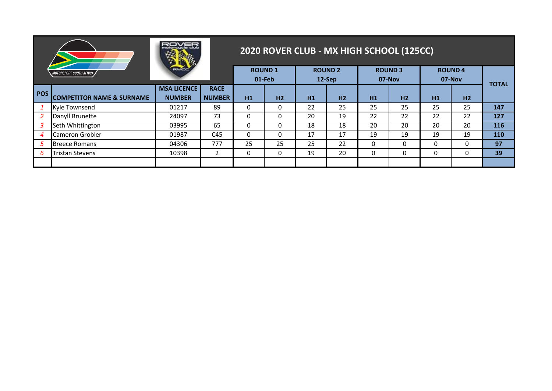|              |                                      | menucia ciud       |               |    |                |    | 2020 ROVER CLUB - MX HIGH SCHOOL (125CC) |    |                |          |                |              |
|--------------|--------------------------------------|--------------------|---------------|----|----------------|----|------------------------------------------|----|----------------|----------|----------------|--------------|
|              | <i>MOTORSPORT SOUTH AFRICA</i>       | <b>REMCI</b>       |               |    | <b>ROUND1</b>  |    | <b>ROUND 2</b>                           |    | <b>ROUND 3</b> |          | <b>ROUND4</b>  |              |
|              |                                      | <b>MSA LICENCE</b> | <b>RACE</b>   |    | 01-Feb         |    | 12-Sep                                   |    | 07-Nov         |          | 07-Nov         | <b>TOTAL</b> |
| <b>POS</b>   | <b>COMPETITOR NAME &amp; SURNAME</b> | <b>NUMBER</b>      | <b>NUMBER</b> | H1 | H <sub>2</sub> | H1 | H <sub>2</sub>                           | H1 | H <sub>2</sub> | H1       | H <sub>2</sub> |              |
|              | <b>Kyle Townsend</b>                 | 01217              | 89            | 0  | 0              | 22 | 25                                       | 25 | 25             | 25       | 25             | 147          |
|              | Danyll Brunette                      | 24097              | 73            | 0  | 0              | 20 | 19                                       | 22 | 22             | 22       | 22             | 127          |
| 3            | Seth Whittington                     | 03995              | 65            | 0  | $\mathbf{0}$   | 18 | 18                                       | 20 | 20             | 20       | 20             | 116          |
| 4            | Cameron Grobler                      | 01987              | C45           | 0  | 0              | 17 | 17                                       | 19 | 19             | 19       | 19             | 110          |
| 5            | <b>Breece Romans</b>                 | 04306              | 777           | 25 | 25             | 25 | 22                                       | 0  | $\Omega$       | $\Omega$ | 0              | 97           |
| <sub>b</sub> | Tristan Stevens                      | 10398              | 2             | 0  | $\mathbf{0}$   | 19 | 20                                       | 0  | 0              | 0        | 0              | 39           |
|              |                                      |                    |               |    |                |    |                                          |    |                |          |                |              |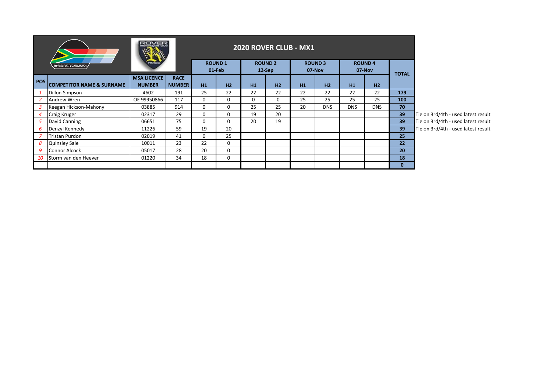|                  |                                      | ROVER                               |                              |             |                         | <b>2020 ROVER CLUB - MX1</b> |                          |    |                          |            |                         |              |                                     |
|------------------|--------------------------------------|-------------------------------------|------------------------------|-------------|-------------------------|------------------------------|--------------------------|----|--------------------------|------------|-------------------------|--------------|-------------------------------------|
|                  | <b>MOTORSPORT SOUTH AFRICA</b>       | <b>FRIVACIO</b>                     |                              |             | <b>ROUND1</b><br>01-Feb |                              | <b>ROUND 2</b><br>12-Sep |    | <b>ROUND 3</b><br>07-Nov |            | <b>ROUND4</b><br>07-Nov |              |                                     |
| POS <sup>1</sup> | <b>COMPETITOR NAME &amp; SURNAME</b> | <b>MSA LICENCE</b><br><b>NUMBER</b> | <b>RACE</b><br><b>NUMBER</b> | H1          | H2                      | H1                           | H2                       | H1 | H <sub>2</sub>           | H1         | H2                      | <b>TOTAL</b> |                                     |
|                  | <b>Dillon Simpson</b>                | 4602                                | 191                          | 25          | 22                      | 22                           | 22                       | 22 | 22                       | 22         | 22                      | 179          |                                     |
|                  | Andrew Wren                          | OE 99950866                         | 117                          | $\mathbf 0$ | $\mathbf 0$             | 0                            | 0                        | 25 | 25                       | 25         | 25                      | 100          |                                     |
|                  | Keegan Hickson-Mahony                | 03885                               | 914                          | $\mathbf 0$ | $\Omega$                | 25                           | 25                       | 20 | <b>DNS</b>               | <b>DNS</b> | <b>DNS</b>              | 70           |                                     |
| Δ                | <b>Craig Kruger</b>                  | 02317                               | 29                           | 0           | 0                       | 19                           | 20                       |    |                          |            |                         | 39           | Tie on 3rd/4th - used latest result |
|                  | David Canning                        | 06651                               | 75                           | 0           | $\Omega$                | 20                           | 19                       |    |                          |            |                         | 39           | Tie on 3rd/4th - used latest result |
| 6                | Denzyl Kennedy                       | 11226                               | 59                           | 19          | 20                      |                              |                          |    |                          |            |                         | 39           | Tie on 3rd/4th - used latest result |
|                  | Tristan Purdon                       | 02019                               | 41                           | $\mathbf 0$ | 25                      |                              |                          |    |                          |            |                         | 25           |                                     |
| 8                | <b>Quinsley Sale</b>                 | 10011                               | 23                           | 22          | $\Omega$                |                              |                          |    |                          |            |                         | 22           |                                     |
| 9                | <b>Connor Alcock</b>                 | 05017                               | 28                           | 20          | $\mathbf 0$             |                              |                          |    |                          |            |                         | 20           |                                     |
| 10               | Storm van den Heever                 | 01220                               | 34                           | 18          | $\mathbf 0$             |                              |                          |    |                          |            |                         | 18           |                                     |
|                  |                                      |                                     |                              |             |                         |                              |                          |    |                          |            |                         | $\mathbf{0}$ |                                     |

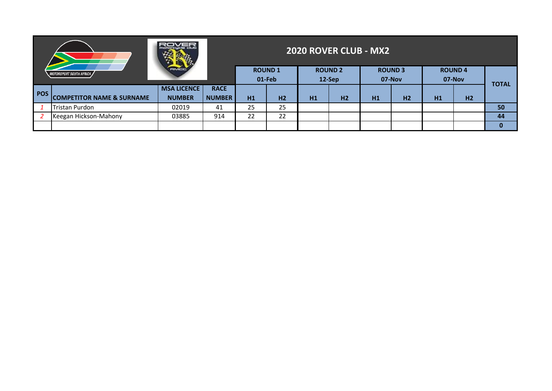|            |                                          |               |               |    | <b>2020 ROVER CLUB - MX2</b> |    |                          |    |                          |    |                         |              |
|------------|------------------------------------------|---------------|---------------|----|------------------------------|----|--------------------------|----|--------------------------|----|-------------------------|--------------|
|            | RMCO<br><i>MOTORSPORT SOUTH AFRICA /</i> |               |               |    | <b>ROUND1</b><br>01-Feb      |    | <b>ROUND 2</b><br>12-Sep |    | <b>ROUND 3</b><br>07-Nov |    | <b>ROUND4</b><br>07-Nov |              |
| <b>POS</b> | <b>MSA LICENCE</b><br><b>RACE</b>        |               |               |    |                              |    |                          |    |                          |    |                         | <b>TOTAL</b> |
|            | <b>COMPETITOR NAME &amp; SURNAME</b>     | <b>NUMBER</b> | <b>NUMBER</b> | H1 | H <sub>2</sub>               | H1 | H <sub>2</sub>           | H1 | H <sub>2</sub>           | H1 | H <sub>2</sub>          |              |
|            | <b>Tristan Purdon</b>                    | 02019         | 41            | 25 | 25                           |    |                          |    |                          |    |                         | 50           |
|            | Keegan Hickson-Mahony                    | 03885         | 914           | 22 | 22                           |    |                          |    |                          |    |                         | 44           |
|            |                                          |               |               |    |                              |    |                          |    |                          |    |                         | 0            |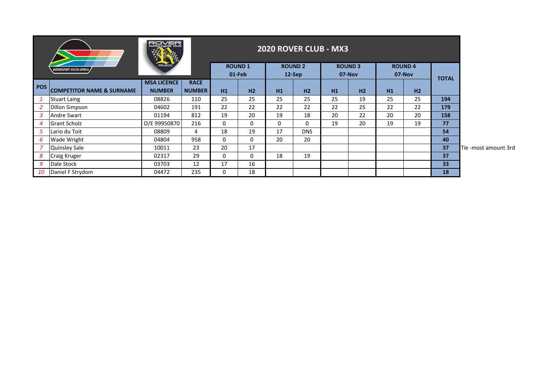|                  |                                      | <b>ROVER</b><br>$\mathbb{R}$        |                              |          |                         |          | 2020 ROVER CLUB - MX3      |    |                          |    |                         |              |                      |
|------------------|--------------------------------------|-------------------------------------|------------------------------|----------|-------------------------|----------|----------------------------|----|--------------------------|----|-------------------------|--------------|----------------------|
|                  | <b>MOTORSPORT SOUTH AFRICA</b>       | <b>FRIVACIO</b>                     |                              |          | <b>ROUND1</b><br>01-Feb |          | <b>ROUND 2</b><br>$12-Sep$ |    | <b>ROUND 3</b><br>07-Nov |    | <b>ROUND4</b><br>07-Nov | <b>TOTAL</b> |                      |
| <b>POS</b>       | <b>COMPETITOR NAME &amp; SURNAME</b> | <b>MSA LICENCE</b><br><b>NUMBER</b> | <b>RACE</b><br><b>NUMBER</b> | H1       | H2                      | H1       | H2                         | H1 | H2                       | H1 | H <sub>2</sub>          |              |                      |
|                  | <b>Stuart Laing</b>                  | 08826                               | 110                          | 25       | 25                      | 25       | 25                         | 25 | 19                       | 25 | 25                      | 194          |                      |
| 2                | Dillon Simpson                       | 04602                               | 191                          | 22       | 22                      | 22       | 22                         | 22 | 25                       | 22 | 22                      | 179          |                      |
| 3                | Andre Swart                          | 01194                               | 812                          | 19       | 20                      | 19       | 18                         | 20 | 22                       | 20 | 20                      | 158          |                      |
| $\boldsymbol{4}$ | <b>Grant Scholz</b>                  | O/E 99950870                        | 216                          | $\Omega$ | 0                       | $\Omega$ | $\mathbf{0}$               | 19 | 20                       | 19 | 19                      | 77           |                      |
| 5                | Lario du Toit                        | 08809                               | 4                            | 18       | 19                      | 17       | <b>DNS</b>                 |    |                          |    |                         | 54           |                      |
| 6                | Wade Wright                          | 04804                               | 958                          | 0        | 0                       | 20       | 20                         |    |                          |    |                         | 40           |                      |
|                  | <b>Quinsley Sale</b>                 | 10011                               | 23                           | 20       | 17                      |          |                            |    |                          |    |                         | 37           | Tie -most amount 3rd |
| 8                | <b>Craig Kruger</b>                  | 02317                               | 29                           | $\Omega$ | 0                       | 18       | 19                         |    |                          |    |                         | 37           |                      |
| 9                | Dale Stock                           | 03703                               | 12                           | 17       | 16                      |          |                            |    |                          |    |                         | 33           |                      |
| 10               | Daniel F Strydom                     | 04472                               | 235                          | 0        | 18                      |          |                            |    |                          |    |                         | 18           |                      |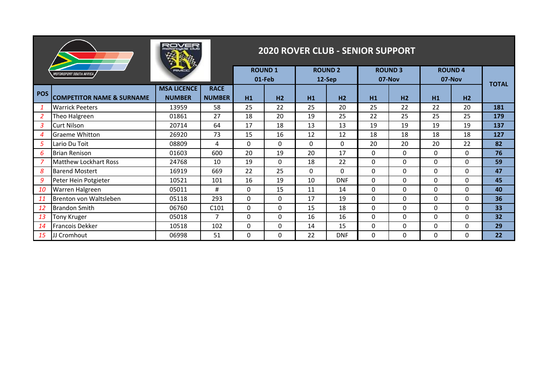|                  |                                       |                                     |                              |          |                         |          | <b>2020 ROVER CLUB - SENIOR SUPPORT</b> |              |                          |              |                         |              |
|------------------|---------------------------------------|-------------------------------------|------------------------------|----------|-------------------------|----------|-----------------------------------------|--------------|--------------------------|--------------|-------------------------|--------------|
|                  | <i><b>MOTORSPORT SOUTH AFRICA</b></i> |                                     |                              |          | <b>ROUND1</b><br>01-Feb |          | <b>ROUND 2</b><br>12-Sep                |              | <b>ROUND 3</b><br>07-Nov |              | <b>ROUND4</b><br>07-Nov | <b>TOTAL</b> |
| <b>POS</b>       | <b>COMPETITOR NAME &amp; SURNAME</b>  | <b>MSA LICENCE</b><br><b>NUMBER</b> | <b>RACE</b><br><b>NUMBER</b> | H1       | H <sub>2</sub>          | H1       | H <sub>2</sub>                          | H1           | H <sub>2</sub>           | H1           | H <sub>2</sub>          |              |
| -1               | <b>Warrick Peeters</b>                | 13959                               | 58                           | 25       | 22                      | 25       | 20                                      | 25           | 22                       | 22           | 20                      | 181          |
| 2                | Theo Halgreen                         | 01861                               | 27                           | 18       | 20                      | 19       | 25                                      | 22           | 25                       | 25           | 25                      | 179          |
| 3                | <b>Curt Nilson</b>                    | 20714                               | 64                           | 17       | 18                      | 13       | 13                                      | 19           | 19                       | 19           | 19                      | 137          |
| $\boldsymbol{4}$ | <b>Graeme Whitton</b>                 | 26920                               | 73                           | 15       | 16                      | 12       | 12                                      | 18           | 18                       | 18           | 18                      | 127          |
| 5                | Lario Du Toit                         | 08809                               | 4                            | $\Omega$ | $\Omega$                | $\Omega$ | $\Omega$                                | 20           | 20                       | 20           | 22                      | 82           |
| 6                | <b>Brian Renison</b>                  | 01603                               | 600                          | 20       | 19                      | 20       | 17                                      | $\Omega$     | $\Omega$                 | $\mathbf{0}$ | 0                       | 76           |
|                  | <b>Matthew Lockhart Ross</b>          | 24768                               | 10                           | 19       | $\Omega$                | 18       | 22                                      | $\Omega$     | $\Omega$                 | $\mathbf{0}$ | $\Omega$                | 59           |
| 8                | <b>Barend Mostert</b>                 | 16919                               | 669                          | 22       | 25                      | $\Omega$ | $\Omega$                                | $\Omega$     | $\Omega$                 | $\mathbf{0}$ | $\Omega$                | 47           |
| 9                | Peter Hein Potgieter                  | 10521                               | 101                          | 16       | 19                      | 10       | <b>DNF</b>                              | $\Omega$     | $\Omega$                 | $\mathbf{0}$ | $\Omega$                | 45           |
| 10               | Warren Halgreen                       | 05011                               | #                            | $\Omega$ | 15                      | 11       | 14                                      | $\Omega$     | $\Omega$                 | $\mathbf{0}$ | $\Omega$                | 40           |
| 11               | Brenton von Waltsleben                | 05118                               | 293                          | $\Omega$ | $\Omega$                | 17       | 19                                      | $\Omega$     | $\Omega$                 | $\mathbf{0}$ | $\Omega$                | 36           |
| <b>12</b>        | <b>Brandon Smith</b>                  | 06760                               | C101                         | $\Omega$ | $\Omega$                | 15       | 18                                      | $\Omega$     | $\Omega$                 | $\mathbf{0}$ | $\Omega$                | 33           |
| 13               | Tony Kruger                           | 05018                               | $\overline{7}$               | $\Omega$ | 0                       | 16       | 16                                      | $\Omega$     | $\Omega$                 | $\mathbf{0}$ | $\Omega$                | 32           |
| 14               | Francois Dekker                       | 10518                               | 102                          | 0        | 0                       | 14       | 15                                      | $\mathbf{0}$ | $\Omega$                 | $\mathbf{0}$ | 0                       | 29           |
| 15               | JJ Cromhout                           | 06998                               | 51                           | $\Omega$ | $\Omega$                | 22       | <b>DNF</b>                              | 0            | $\Omega$                 | 0            | $\Omega$                | 22           |